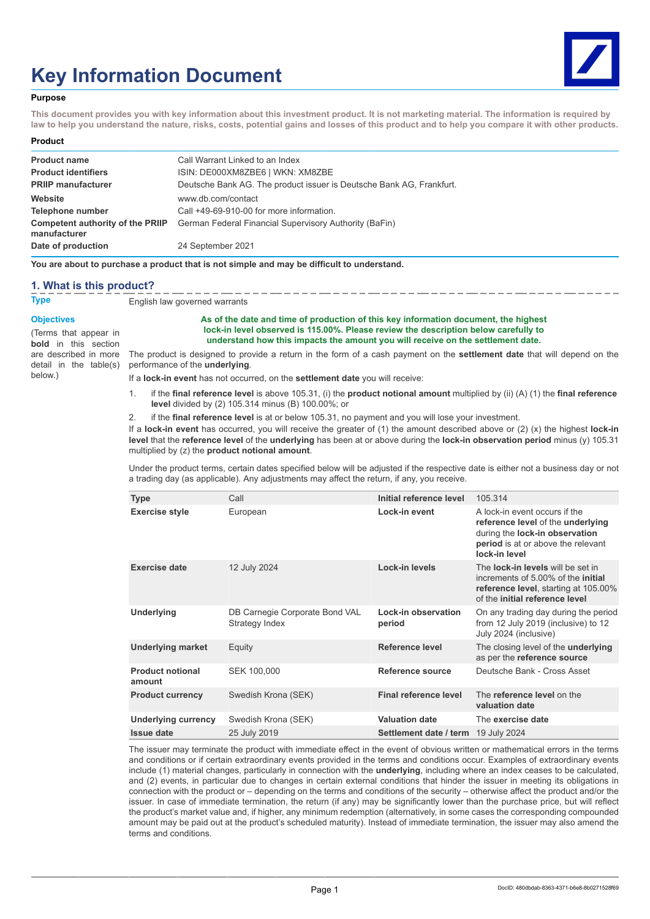# **Key Information Document**



#### **Purpose**

**This document provides you with key information about this investment product. It is not marketing material. The information is required by law to help you understand the nature, risks, costs, potential gains and losses of this product and to help you compare it with other products.**

#### **Product**

| <b>Product name</b>                              | Call Warrant Linked to an Index                                      |
|--------------------------------------------------|----------------------------------------------------------------------|
| <b>Product identifiers</b>                       | ISIN: DE000XM8ZBE6   WKN: XM8ZBE                                     |
| <b>PRIIP manufacturer</b>                        | Deutsche Bank AG. The product issuer is Deutsche Bank AG. Frankfurt. |
| Website                                          | www.db.com/contact                                                   |
| Telephone number                                 | Call +49-69-910-00 for more information.                             |
| Competent authority of the PRIIP<br>manufacturer | German Federal Financial Supervisory Authority (BaFin)               |
| Date of production                               | 24 September 2021                                                    |

**You are about to purchase a product that is not simple and may be difficult to understand.**

#### **1. What is this product?**

**Type** English law governed warrants

#### **Objectives**

(Terms that appear in **bold** in this section detail in the table(s) below.)

#### **As of the date and time of production of this key information document, the highest lock-in level observed is 115.00%. Please review the description below carefully to understand how this impacts the amount you will receive on the settlement date.**

are described in more The product is designed to provide a return in the form of a cash payment on the **settlement date** that will depend on the performance of the **underlying**.

- If a **lock-in event** has not occurred, on the **settlement date** you will receive:
- 1. if the **final reference level** is above 105.31, (i) the **product notional amount** multiplied by (ii) (A) (1) the **final reference level** divided by (2) 105.314 minus (B) 100.00%; or
- 2. if the **final reference level** is at or below 105.31, no payment and you will lose your investment.

If a **lock-in event** has occurred, you will receive the greater of (1) the amount described above or (2) (x) the highest **lock-in level** that the **reference level** of the **underlying** has been at or above during the **lock-in observation period** minus (y) 105.31 multiplied by (z) the **product notional amount**.

Under the product terms, certain dates specified below will be adjusted if the respective date is either not a business day or not a trading day (as applicable). Any adjustments may affect the return, if any, you receive.

| <b>Type</b>                       | Call                                             | Initial reference level       | 105.314                                                                                                                                                                |
|-----------------------------------|--------------------------------------------------|-------------------------------|------------------------------------------------------------------------------------------------------------------------------------------------------------------------|
| <b>Exercise style</b>             | European                                         | Lock-in event                 | A lock-in event occurs if the<br>reference level of the underlying<br>during the <b>lock-in observation</b><br>period is at or above the relevant<br>lock-in level     |
| <b>Exercise date</b>              | 12 July 2024                                     | Lock-in levels                | The <b>lock-in levels</b> will be set in<br>increments of 5,00% of the <b>initial</b><br><b>reference level, starting at 105.00%</b><br>of the initial reference level |
| Underlying                        | DB Carnegie Corporate Bond VAL<br>Strategy Index | Lock-in observation<br>period | On any trading day during the period<br>from 12 July 2019 (inclusive) to 12<br>July 2024 (inclusive)                                                                   |
| <b>Underlying market</b>          | Equity                                           | Reference level               | The closing level of the <b>underlying</b><br>as per the reference source                                                                                              |
| <b>Product notional</b><br>amount | SEK 100,000                                      | Reference source              | Deutsche Bank - Cross Asset                                                                                                                                            |
| <b>Product currency</b>           | Swedish Krona (SEK)                              | Final reference level         | The reference level on the<br>valuation date                                                                                                                           |
| Underlying currency               | Swedish Krona (SEK)                              | <b>Valuation date</b>         | The exercise date                                                                                                                                                      |
| <b>Issue date</b>                 | 25 July 2019                                     | Settlement date / term        | 19 July 2024                                                                                                                                                           |

The issuer may terminate the product with immediate effect in the event of obvious written or mathematical errors in the terms and conditions or if certain extraordinary events provided in the terms and conditions occur. Examples of extraordinary events include (1) material changes, particularly in connection with the **underlying**, including where an index ceases to be calculated, and (2) events, in particular due to changes in certain external conditions that hinder the issuer in meeting its obligations in connection with the product or – depending on the terms and conditions of the security – otherwise affect the product and/or the issuer. In case of immediate termination, the return (if any) may be significantly lower than the purchase price, but will reflect the product's market value and, if higher, any minimum redemption (alternatively, in some cases the corresponding compounded amount may be paid out at the product's scheduled maturity). Instead of immediate termination, the issuer may also amend the terms and conditions.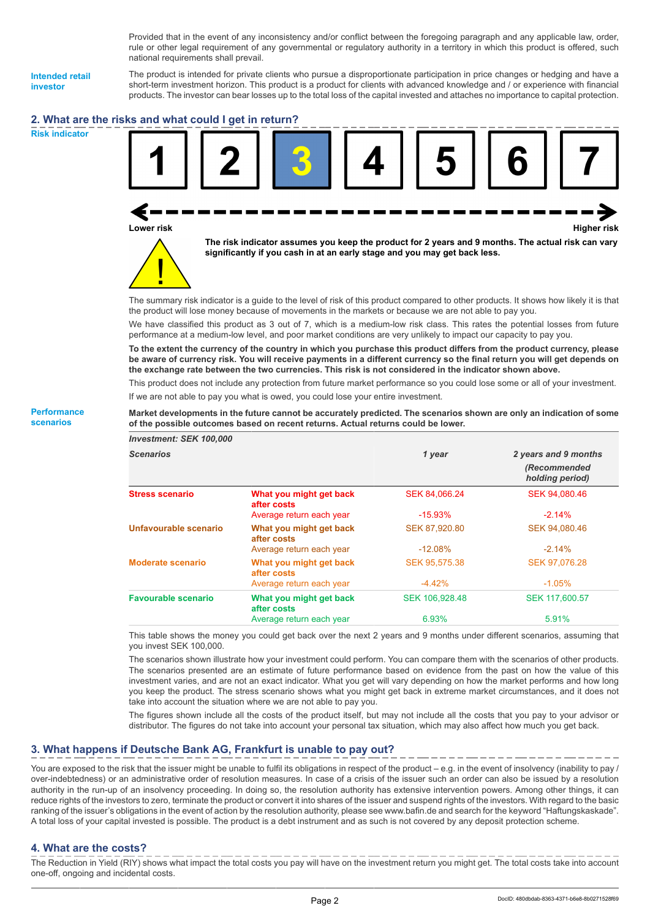Provided that in the event of any inconsistency and/or conflict between the foregoing paragraph and any applicable law, order, rule or other legal requirement of any governmental or regulatory authority in a territory in which this product is offered, such national requirements shall prevail.

**Intended retail investor**

**Risk indicator**

**Performance scenarios**

The product is intended for private clients who pursue a disproportionate participation in price changes or hedging and have a short-term investment horizon. This product is a product for clients with advanced knowledge and / or experience with financial products. The investor can bear losses up to the total loss of the capital invested and attaches no importance to capital protection.

# **2. What are the risks and what could I get in return?**





**The risk indicator assumes you keep the product for 2 years and 9 months. The actual risk can vary significantly if you cash in at an early stage and you may get back less.**

The summary risk indicator is a guide to the level of risk of this product compared to other products. It shows how likely it is that the product will lose money because of movements in the markets or because we are not able to pay you.

We have classified this product as 3 out of 7, which is a medium-low risk class. This rates the potential losses from future performance at a medium-low level, and poor market conditions are very unlikely to impact our capacity to pay you.

**To the extent the currency of the country in which you purchase this product differs from the product currency, please be aware of currency risk. You will receive payments in a different currency so the final return you will get depends on the exchange rate between the two currencies. This risk is not considered in the indicator shown above.**

This product does not include any protection from future market performance so you could lose some or all of your investment. If we are not able to pay you what is owed, you could lose your entire investment.

## **Market developments in the future cannot be accurately predicted. The scenarios shown are only an indication of some of the possible outcomes based on recent returns. Actual returns could be lower.**

| <b>Investment: SEK 100,000</b> |                                        |                |                                                         |
|--------------------------------|----------------------------------------|----------------|---------------------------------------------------------|
| <b>Scenarios</b>               |                                        | 1 year         | 2 years and 9 months<br>(Recommended<br>holding period) |
| <b>Stress scenario</b>         | What you might get back<br>after costs | SEK 84,066.24  | SEK 94.080.46                                           |
|                                | Average return each year               | $-15.93\%$     | $-2.14%$                                                |
| Unfavourable scenario          | What you might get back<br>after costs | SEK 87,920.80  | SEK 94,080.46                                           |
|                                | Average return each year               | $-12.08\%$     | $-2.14%$                                                |
| <b>Moderate scenario</b>       | What you might get back<br>after costs | SEK 95.575.38  | SEK 97.076.28                                           |
|                                | Average return each year               | $-4.42%$       | $-1.05\%$                                               |
| <b>Favourable scenario</b>     | What you might get back<br>after costs | SEK 106.928.48 | SEK 117,600.57                                          |
|                                | Average return each year               | 6.93%          | 5.91%                                                   |

This table shows the money you could get back over the next 2 years and 9 months under different scenarios, assuming that you invest SEK 100,000.

The scenarios shown illustrate how your investment could perform. You can compare them with the scenarios of other products. The scenarios presented are an estimate of future performance based on evidence from the past on how the value of this investment varies, and are not an exact indicator. What you get will vary depending on how the market performs and how long you keep the product. The stress scenario shows what you might get back in extreme market circumstances, and it does not take into account the situation where we are not able to pay you.

The figures shown include all the costs of the product itself, but may not include all the costs that you pay to your advisor or distributor. The figures do not take into account your personal tax situation, which may also affect how much you get back.

# **3. What happens if Deutsche Bank AG, Frankfurt is unable to pay out?**

You are exposed to the risk that the issuer might be unable to fulfil its obligations in respect of the product – e.g. in the event of insolvency (inability to pay / over-indebtedness) or an administrative order of resolution measures. In case of a crisis of the issuer such an order can also be issued by a resolution authority in the run-up of an insolvency proceeding. In doing so, the resolution authority has extensive intervention powers. Among other things, it can reduce rights of the investors to zero, terminate the product or convert it into shares of the issuer and suspend rights of the investors. With regard to the basic ranking of the issuer's obligations in the event of action by the resolution authority, please see www.bafin.de and search for the keyword "Haftungskaskade". A total loss of your capital invested is possible. The product is a debt instrument and as such is not covered by any deposit protection scheme.

## **4. What are the costs?**

The Reduction in Yield (RIY) shows what impact the total costs you pay will have on the investment return you might get. The total costs take into account one-off, ongoing and incidental costs.